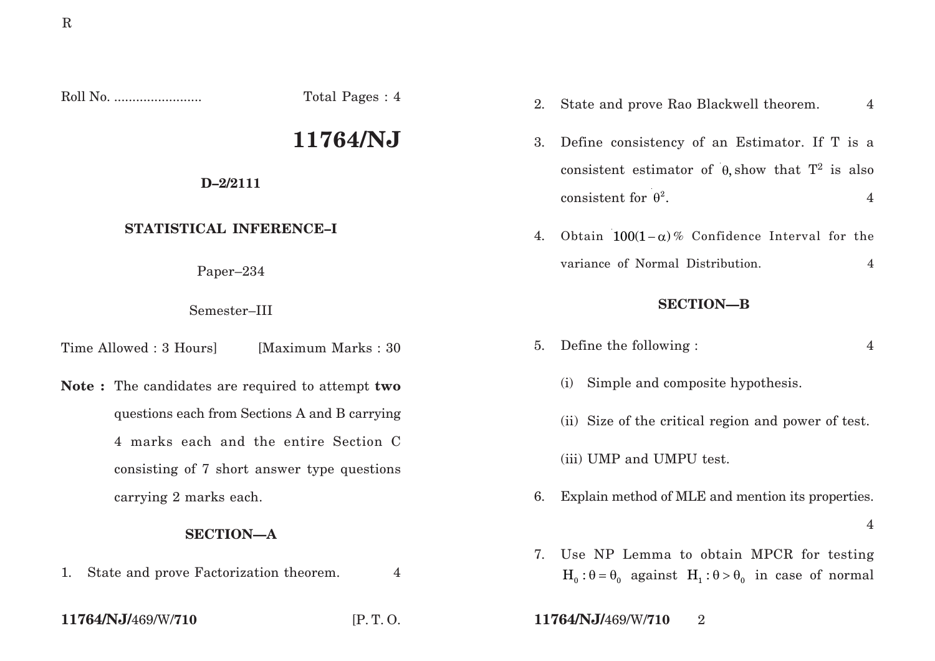Roll No. ........................ Total Pages : 4

# **11764/NJ**

### **D–2/2111**

# **STATISTICAL INFERENCE–I**

Paper–234

Semester–III

Time Allowed : 3 Hours [Maximum Marks : 30]

**Note :** The candidates are required to attempt **two** questions each from Sections A and B carrying 4 marks each and the entire Section C consisting of 7 short answer type questions carrying 2 marks each.

# **SECTION—A**

1. State and prove Factorization theorem. 4

- consistent for  $\theta^2$ . 4
	- 4. Obtain  $100(1 \alpha)$ % Confidence Interval for the variance of Normal Distribution. 4

2. State and prove Rao Blackwell theorem. 4

3. Define consistency of an Estimator. If T is a

consistent estimator of  $\theta$ , show that  $T^2$  is also

## **SECTION—B**

- 5. Define the following : 4
	- (i) Simple and composite hypothesis.
	- (ii) Size of the critical region and power of test.
	- (iii) UMP and UMPU test.
- 6. Explain method of MLE and mention its properties.
	- 4
- 7. Use NP Lemma to obtain MPCR for testing  $H_0$ :  $\theta = \theta_0$  against  $H_1$ :  $\theta > \theta_0$  in case of normal

**11764/NJ/**469/W/**710** [P. T. O. **11764/NJ/**469/W/**710** 2